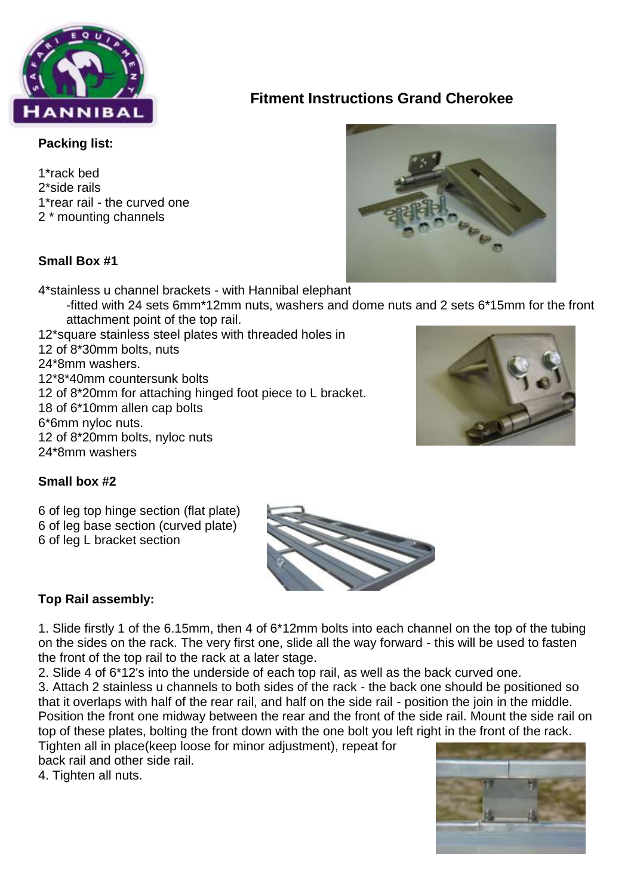

# **Fitment Instructions Grand Cherokee**

### **Packing list:**

1\*rack bed 2\*side rails 1\*rear rail - the curved one 2 \* mounting channels

## **Small Box #1**

4\*stainless u channel brackets - with Hannibal elephant

- -fitted with 24 sets 6mm\*12mm nuts, washers and dome nuts and 2 sets 6\*15mm for the front attachment point of the top rail.
- 12\*square stainless steel plates with threaded holes in 12 of 8\*30mm bolts, nuts 24\*8mm washers. 12\*8\*40mm countersunk bolts 12 of 8\*20mm for attaching hinged foot piece to L bracket. 18 of 6\*10mm allen cap bolts 6\*6mm nyloc nuts. 12 of 8\*20mm bolts, nyloc nuts 24\*8mm washers



# **Small box #2**

6 of leg top hinge section (flat plate) 6 of leg base section (curved plate) 6 of leg L bracket section



1. Slide firstly 1 of the 6.15mm, then 4 of 6\*12mm bolts into each channel on the top of the tubing on the sides on the rack. The very first one, slide all the way forward - this will be used to fasten the front of the top rail to the rack at a later stage.

2. Slide 4 of 6\*12's into the underside of each top rail, as well as the back curved one.

3. Attach 2 stainless u channels to both sides of the rack - the back one should be positioned so that it overlaps with half of the rear rail, and half on the side rail - position the join in the middle. Position the front one midway between the rear and the front of the side rail. Mount the side rail on top of these plates, bolting the front down with the one bolt you left right in the front of the rack.

Tighten all in place(keep loose for minor adjustment), repeat for back rail and other side rail.

4. Tighten all nuts.